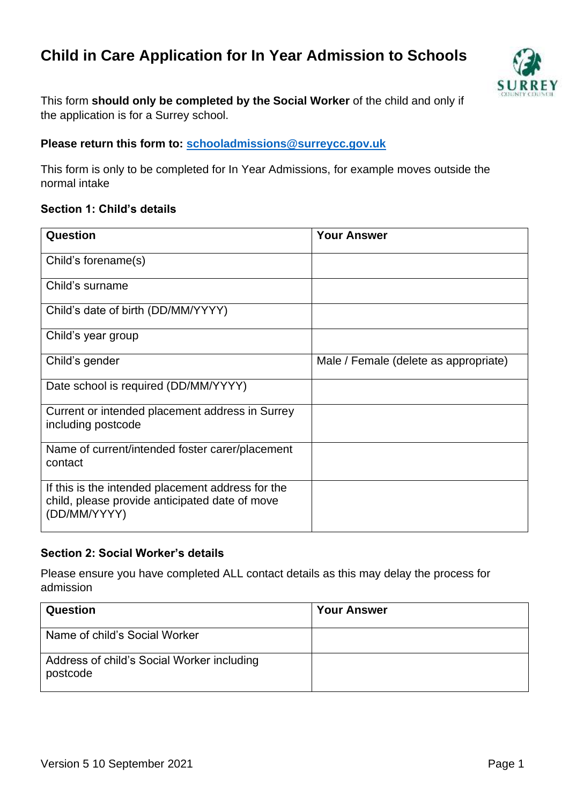# **Child in Care Application for In Year Admission to Schools**



This form **should only be completed by the Social Worker** of the child and only if the application is for a Surrey school.

#### **Please return this form to: [schooladmissions@surreycc.gov.uk](file://///surreycc.local/deptwide/FAM/SVS/SVS%20Website/Documents%20(accessible)/schooladmissions@surreycc.gov.uk)**

This form is only to be completed for In Year Admissions, for example moves outside the normal intake

# **Section 1: Child's details**

| Question                                                                                                            | <b>Your Answer</b>                    |
|---------------------------------------------------------------------------------------------------------------------|---------------------------------------|
| Child's forename(s)                                                                                                 |                                       |
| Child's surname                                                                                                     |                                       |
| Child's date of birth (DD/MM/YYYY)                                                                                  |                                       |
| Child's year group                                                                                                  |                                       |
| Child's gender                                                                                                      | Male / Female (delete as appropriate) |
| Date school is required (DD/MM/YYYY)                                                                                |                                       |
| Current or intended placement address in Surrey<br>including postcode                                               |                                       |
| Name of current/intended foster carer/placement<br>contact                                                          |                                       |
| If this is the intended placement address for the<br>child, please provide anticipated date of move<br>(DD/MM/YYYY) |                                       |

#### **Section 2: Social Worker's details**

Please ensure you have completed ALL contact details as this may delay the process for admission

| <b>Question</b>                                        | <b>Your Answer</b> |
|--------------------------------------------------------|--------------------|
| Name of child's Social Worker                          |                    |
| Address of child's Social Worker including<br>postcode |                    |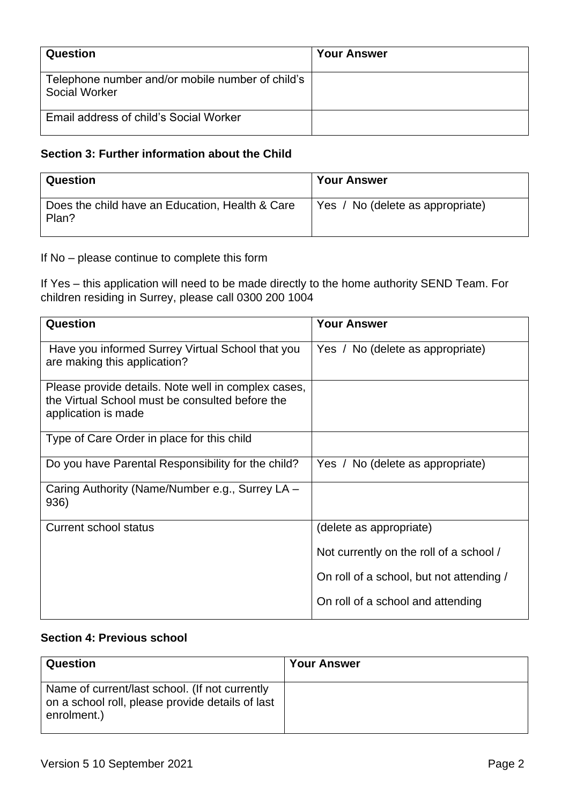| Question                                                                 | <b>Your Answer</b> |
|--------------------------------------------------------------------------|--------------------|
| Telephone number and/or mobile number of child's<br><b>Social Worker</b> |                    |
| Email address of child's Social Worker                                   |                    |

# **Section 3: Further information about the Child**

| Question                                                 | <b>Your Answer</b>               |
|----------------------------------------------------------|----------------------------------|
| Does the child have an Education, Health & Care<br>Plan? | Yes / No (delete as appropriate) |

If No – please continue to complete this form

If Yes – this application will need to be made directly to the home authority SEND Team. For children residing in Surrey, please call 0300 200 1004

| <b>Question</b>                                                                                                               | <b>Your Answer</b>                       |
|-------------------------------------------------------------------------------------------------------------------------------|------------------------------------------|
| Have you informed Surrey Virtual School that you<br>are making this application?                                              | Yes / No (delete as appropriate)         |
| Please provide details. Note well in complex cases,<br>the Virtual School must be consulted before the<br>application is made |                                          |
| Type of Care Order in place for this child                                                                                    |                                          |
| Do you have Parental Responsibility for the child?                                                                            | Yes / No (delete as appropriate)         |
| Caring Authority (Name/Number e.g., Surrey LA -<br>936)                                                                       |                                          |
| Current school status                                                                                                         | (delete as appropriate)                  |
|                                                                                                                               | Not currently on the roll of a school /  |
|                                                                                                                               | On roll of a school, but not attending / |
|                                                                                                                               | On roll of a school and attending        |

# **Section 4: Previous school**

| Question                                                                                                          | <b>Your Answer</b> |
|-------------------------------------------------------------------------------------------------------------------|--------------------|
| Name of current/last school. (If not currently<br>on a school roll, please provide details of last<br>enrolment.) |                    |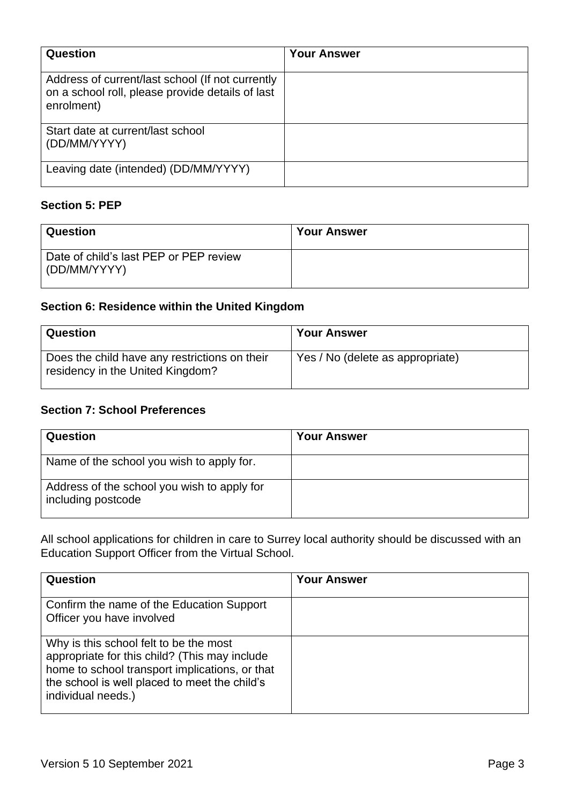| Question                                                                                                           | <b>Your Answer</b> |
|--------------------------------------------------------------------------------------------------------------------|--------------------|
| Address of current/last school (If not currently<br>on a school roll, please provide details of last<br>enrolment) |                    |
| Start date at current/last school<br>(DD/MM/YYYY)                                                                  |                    |
| Leaving date (intended) (DD/MM/YYYY)                                                                               |                    |

## **Section 5: PEP**

| Question                                               | <b>Your Answer</b> |
|--------------------------------------------------------|--------------------|
| Date of child's last PEP or PEP review<br>(DD/MM/YYYY) |                    |

# **Section 6: Residence within the United Kingdom**

| Question                                                                          | <b>Your Answer</b>               |
|-----------------------------------------------------------------------------------|----------------------------------|
| Does the child have any restrictions on their<br>residency in the United Kingdom? | Yes / No (delete as appropriate) |

## **Section 7: School Preferences**

| Question                                                          | <b>Your Answer</b> |
|-------------------------------------------------------------------|--------------------|
| Name of the school you wish to apply for.                         |                    |
| Address of the school you wish to apply for<br>including postcode |                    |

All school applications for children in care to Surrey local authority should be discussed with an Education Support Officer from the Virtual School.

| Question                                                                                                                                                                                                         | <b>Your Answer</b> |
|------------------------------------------------------------------------------------------------------------------------------------------------------------------------------------------------------------------|--------------------|
| Confirm the name of the Education Support<br>Officer you have involved                                                                                                                                           |                    |
| Why is this school felt to be the most<br>appropriate for this child? (This may include<br>home to school transport implications, or that<br>the school is well placed to meet the child's<br>individual needs.) |                    |